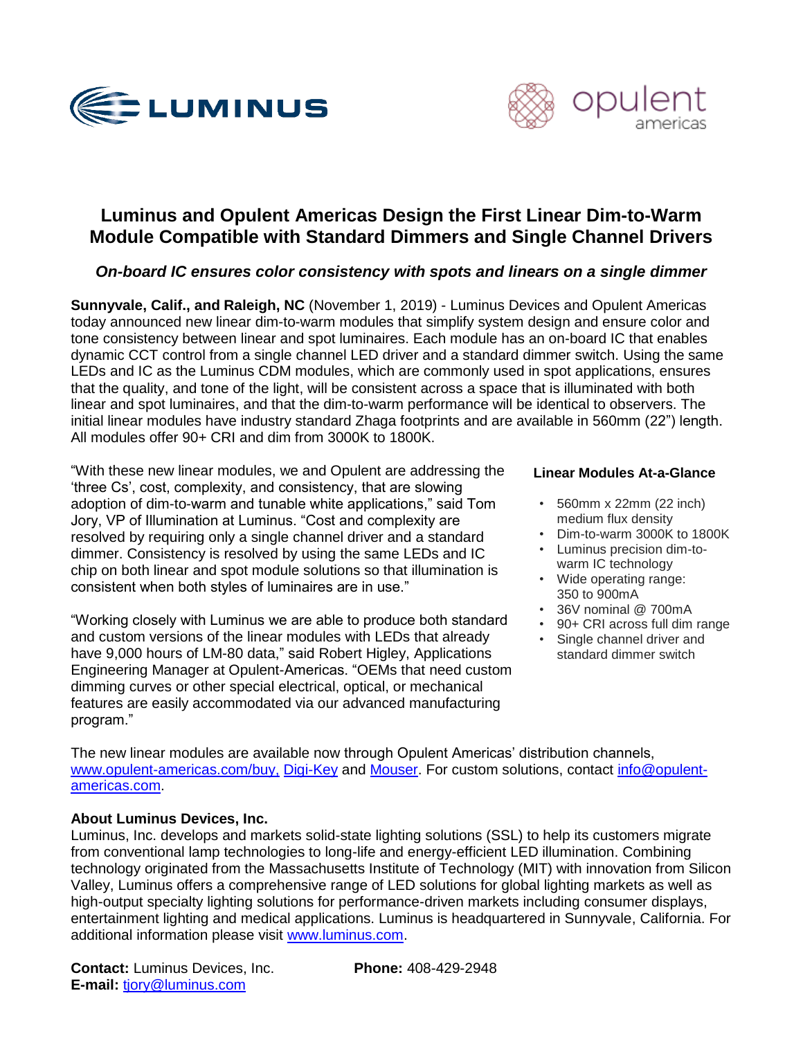



# **Luminus and Opulent Americas Design the First Linear Dim-to-Warm Module Compatible with Standard Dimmers and Single Channel Drivers**

# *On-board IC ensures color consistency with spots and linears on a single dimmer*

**Sunnyvale, Calif., and Raleigh, NC** (November 1, 2019) - Luminus Devices and Opulent Americas today announced new linear dim-to-warm modules that simplify system design and ensure color and tone consistency between linear and spot luminaires. Each module has an on-board IC that enables dynamic CCT control from a single channel LED driver and a standard dimmer switch. Using the same LEDs and IC as the Luminus CDM modules, which are commonly used in spot applications, ensures that the quality, and tone of the light, will be consistent across a space that is illuminated with both linear and spot luminaires, and that the dim-to-warm performance will be identical to observers. The initial linear modules have industry standard Zhaga footprints and are available in 560mm (22") length. All modules offer 90+ CRI and dim from 3000K to 1800K.

"With these new linear modules, we and Opulent are addressing the 'three Cs', cost, complexity, and consistency, that are slowing adoption of dim-to-warm and tunable white applications," said Tom Jory, VP of Illumination at Luminus. "Cost and complexity are resolved by requiring only a single channel driver and a standard dimmer. Consistency is resolved by using the same LEDs and IC chip on both linear and spot module solutions so that illumination is consistent when both styles of luminaires are in use."

"Working closely with Luminus we are able to produce both standard and custom versions of the linear modules with LEDs that already have 9,000 hours of LM-80 data," said Robert Higley, Applications Engineering Manager at Opulent-Americas. "OEMs that need custom dimming curves or other special electrical, optical, or mechanical features are easily accommodated via our advanced manufacturing program."

#### **Linear Modules At-a-Glance**

- 560mm x 22mm (22 inch) medium flux density
- Dim-to-warm 3000K to 1800K
- Luminus precision dim-towarm IC technology
- Wide operating range: 350 to 900mA
- 36V nominal @ 700mA
- 90+ CRI across full dim range
- Single channel driver and standard dimmer switch

The new linear modules are available now through Opulent Americas' distribution channels, [www.opulent-americas.com/buy,](http://www.opulent-americas.com/buy) [Digi-Key](https://www.digikey.com/products/en?keywords=DSB1-66G02-3018-90-01) and [Mouser.](https://www.mouser.com/ProductDetail/Opulent/DSB1-66G02-3018-90-01?qs=%252B6g0mu59x7KKbzvyUDyrzw%3D%3D) For custom solutions, contact [info@opulent](mailto:mailto:info@opulent-americas.com)[americas.com.](mailto:mailto:info@opulent-americas.com)

## **About Luminus Devices, Inc.**

Luminus, Inc. develops and markets solid-state lighting solutions (SSL) to help its customers migrate from conventional lamp technologies to long-life and energy-efficient LED illumination. Combining technology originated from the Massachusetts Institute of Technology (MIT) with innovation from Silicon Valley, Luminus offers a comprehensive range of LED solutions for global lighting markets as well as high-output specialty lighting solutions for performance-driven markets including consumer displays, entertainment lighting and medical applications. Luminus is headquartered in Sunnyvale, California. For additional information please visit [www.luminus.com.](http://www.luminus.com/)